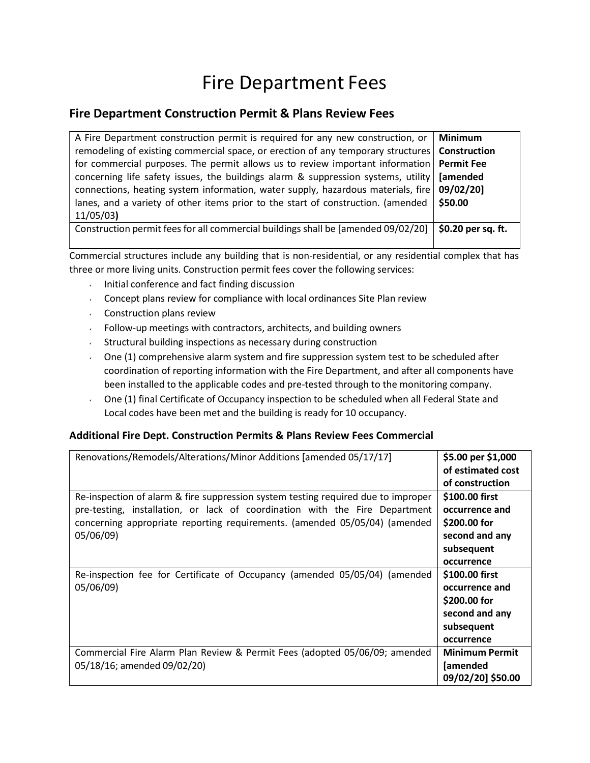## Fire Department Fees

## **Fire Department Construction Permit & Plans Review Fees**

| A Fire Department construction permit is required for any new construction, or    | <b>Minimum</b>     |
|-----------------------------------------------------------------------------------|--------------------|
| remodeling of existing commercial space, or erection of any temporary structures  | Construction       |
| for commercial purposes. The permit allows us to review important information     | <b>Permit Fee</b>  |
| concerning life safety issues, the buildings alarm & suppression systems, utility | <b>[amended</b>    |
| connections, heating system information, water supply, hazardous materials, fire  | 09/02/201          |
| lanes, and a variety of other items prior to the start of construction. (amended  | \$50.00            |
| 11/05/03                                                                          |                    |
| Construction permit fees for all commercial buildings shall be [amended 09/02/20] | \$0.20 per sq. ft. |
|                                                                                   |                    |

Commercial structures include any building that is non-residential, or any residential complex that has three or more living units. Construction permit fees cover the following services:

- Initial conference and fact finding discussion
- Concept plans review for compliance with local ordinances Site Plan review
- Construction plans review
- $\sim$  Follow-up meetings with contractors, architects, and building owners
- Structural building inspections as necessary during construction
- $\sim$  One (1) comprehensive alarm system and fire suppression system test to be scheduled after coordination of reporting information with the Fire Department, and after all components have been installed to the applicable codes and pre-tested through to the monitoring company.
- One (1) final Certificate of Occupancy inspection to be scheduled when all Federal State and Local codes have been met and the building is ready for 10 occupancy.

## **Additional Fire Dept. Construction Permits & Plans Review Fees Commercial**

| Renovations/Remodels/Alterations/Minor Additions [amended 05/17/17]                                                                                              | \$5.00 per \$1,000<br>of estimated cost<br>of construction |
|------------------------------------------------------------------------------------------------------------------------------------------------------------------|------------------------------------------------------------|
| Re-inspection of alarm & fire suppression system testing required due to improper<br>pre-testing, installation, or lack of coordination with the Fire Department | \$100.00 first<br>occurrence and                           |
| concerning appropriate reporting requirements. (amended 05/05/04) (amended<br>05/06/09)                                                                          | \$200.00 for<br>second and any<br>subsequent               |
| Re-inspection fee for Certificate of Occupancy (amended 05/05/04) (amended<br>05/06/09)                                                                          | occurrence<br>\$100.00 first<br>occurrence and             |
|                                                                                                                                                                  | \$200.00 for<br>second and any<br>subsequent               |
|                                                                                                                                                                  | occurrence<br><b>Minimum Permit</b>                        |
| Commercial Fire Alarm Plan Review & Permit Fees (adopted 05/06/09; amended<br>05/18/16; amended 09/02/20)                                                        | <b>[amended</b><br>09/02/20] \$50.00                       |